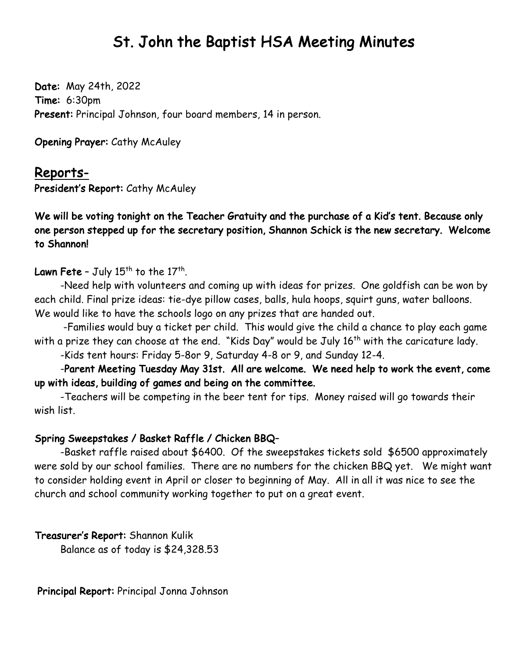## St. John the Baptist HSA Meeting Minutes

Date: May 24th, 2022 Time: 6:30pm Present: Principal Johnson, four board members, 14 in person.

Opening Prayer: Cathy McAuley

## Reports-

President's Report: Cathy McAuley

We will be voting tonight on the Teacher Gratuity and the purchase of a Kid's tent. Because only one person stepped up for the secretary position, Shannon Schick is the new secretary. Welcome to Shannon!

Lawn Fete - July  $15<sup>th</sup>$  to the  $17<sup>th</sup>$ .

-Need help with volunteers and coming up with ideas for prizes. One goldfish can be won by each child. Final prize ideas: tie-dye pillow cases, balls, hula hoops, squirt guns, water balloons. We would like to have the schools logo on any prizes that are handed out.

-Families would buy a ticket per child. This would give the child a chance to play each game with a prize they can choose at the end. "Kids Day" would be July 16<sup>th</sup> with the caricature lady.

-Kids tent hours: Friday 5-8or 9, Saturday 4-8 or 9, and Sunday 12-4.

-Parent Meeting Tuesday May 31st. All are welcome. We need help to work the event, come up with ideas, building of games and being on the committee.

-Teachers will be competing in the beer tent for tips. Money raised will go towards their wish list.

## Spring Sweepstakes / Basket Raffle / Chicken BBQ–

-Basket raffle raised about \$6400. Of the sweepstakes tickets sold \$6500 approximately were sold by our school families. There are no numbers for the chicken BBQ yet. We might want to consider holding event in April or closer to beginning of May. All in all it was nice to see the church and school community working together to put on a great event.

Treasurer's Report: Shannon Kulik Balance as of today is \$24,328.53

Principal Report: Principal Jonna Johnson